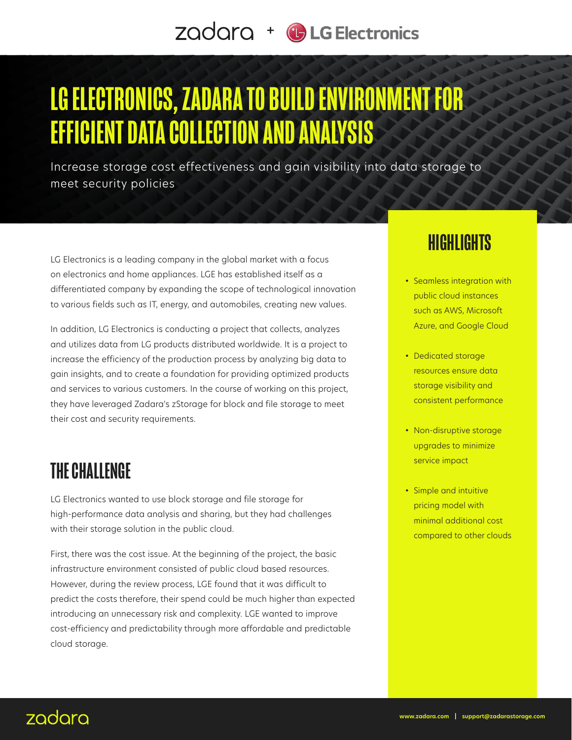# LG ELECTRONICS, ZADARA TO BUILD ENVIRONMENT FOR EFFICIENT DATA COLLECTION AND ANALYSIS

Increase storage cost effectiveness and gain visibility into data storage to meet security policies

LG Electronics is a leading company in the global market with a focus on electronics and home appliances. LGE has established itself as a differentiated company by expanding the scope of technological innovation to various fields such as IT, energy, and automobiles, creating new values.

In addition, LG Electronics is conducting a project that collects, analyzes and utilizes data from LG products distributed worldwide. It is a project to increase the efficiency of the production process by analyzing big data to gain insights, and to create a foundation for providing optimized products and services to various customers. In the course of working on this project, they have leveraged Zadara's zStorage for block and file storage to meet their cost and security requirements.

#### THE CHALLENGE

LG Electronics wanted to use block storage and file storage for high-performance data analysis and sharing, but they had challenges with their storage solution in the public cloud.

First, there was the cost issue. At the beginning of the project, the basic infrastructure environment consisted of public cloud based resources. However, during the review process, LGE found that it was difficult to predict the costs therefore, their spend could be much higher than expected introducing an unnecessary risk and complexity. LGE wanted to improve cost-efficiency and predictability through more affordable and predictable cloud storage.

#### **HIGHLIGHTS**

- Seamless integration with public cloud instances such as AWS, Microsoft Azure, and Google Cloud
- Dedicated storage resources ensure data storage visibility and consistent performance
- Non-disruptive storage upgrades to minimize service impact
- Simple and intuitive pricing model with minimal additional cost compared to other clouds

#### zadara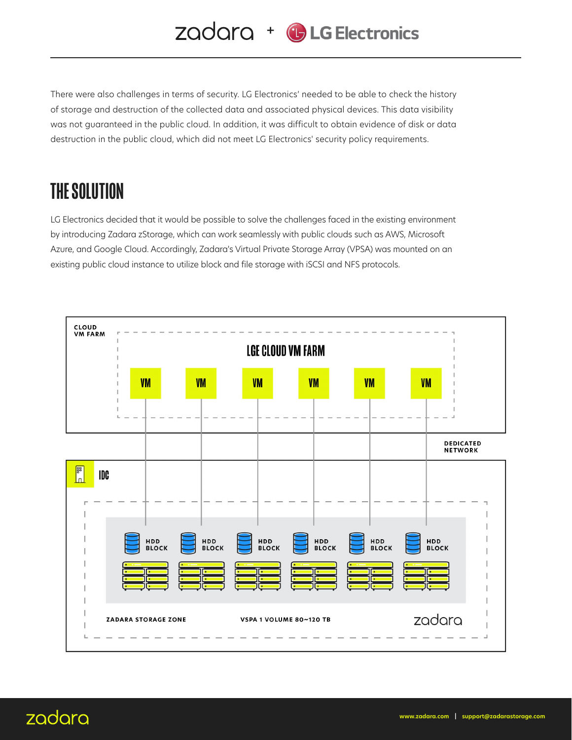There were also challenges in terms of security. LG Electronics' needed to be able to check the history of storage and destruction of the collected data and associated physical devices. This data visibility was not guaranteed in the public cloud. In addition, it was difficult to obtain evidence of disk or data destruction in the public cloud, which did not meet LG Electronics' security policy requirements.

### THE SOLUTION

LG Electronics decided that it would be possible to solve the challenges faced in the existing environment by introducing Zadara zStorage, which can work seamlessly with public clouds such as AWS, Microsoft Azure, and Google Cloud. Accordingly, Zadara's Virtual Private Storage Array (VPSA) was mounted on an existing public cloud instance to utilize block and file storage with iSCSI and NFS protocols.